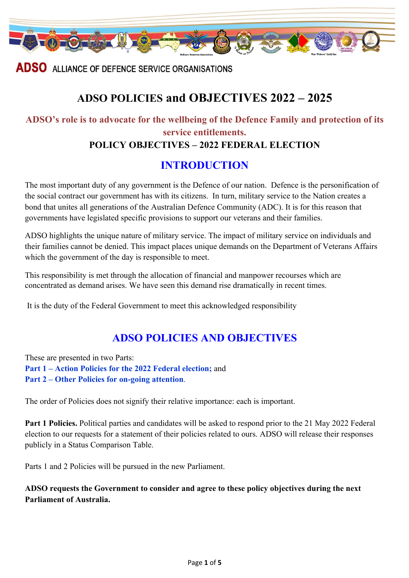

**ADSO** ALLIANCE OF DEFENCE SERVICE ORGANISATIONS

# **ADSO POLICIES and OBJECTIVES 2022 – 2025**

# **ADSO's role is to advocate for the wellbeing of the Defence Family and protection of its service entitlements. POLICY OBJECTIVES – 2022 FEDERAL ELECTION**

## **INTRODUCTION**

The most important duty of any government is the Defence of our nation. Defence is the personification of the social contract our government has with its citizens. In turn, military service to the Nation creates a bond that unites all generations of the Australian Defence Community (ADC). It is for this reason that governments have legislated specific provisions to support our veterans and their families.

ADSO highlights the unique nature of military service. The impact of military service on individuals and their families cannot be denied. This impact places unique demands on the Department of Veterans Affairs which the government of the day is responsible to meet.

This responsibility is met through the allocation of financial and manpower recourses which are concentrated as demand arises. We have seen this demand rise dramatically in recent times.

It is the duty of the Federal Government to meet this acknowledged responsibility

## **ADSO POLICIES AND OBJECTIVES**

These are presented in two Parts: **Part 1 – Action Policies for the 2022 Federal election;** and **Part 2 – Other Policies for on-going attention**.

The order of Policies does not signify their relative importance: each is important.

**Part 1 Policies.** Political parties and candidates will be asked to respond prior to the 21 May 2022 Federal election to our requests for a statement of their policies related to ours. ADSO will release their responses publicly in a Status Comparison Table.

Parts 1 and 2 Policies will be pursued in the new Parliament.

**ADSO requests the Government to consider and agree to these policy objectives during the next Parliament of Australia.**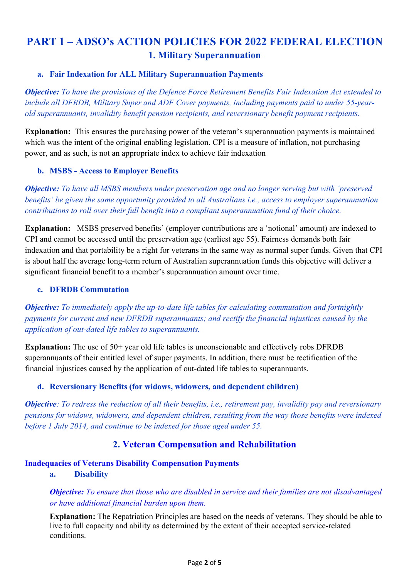## **PART 1 – ADSO's ACTION POLICIES FOR 2022 FEDERAL ELECTION 1. Military Superannuation**

#### **a. Fair Indexation for ALL Military Superannuation Payments**

*Objective: To have the provisions of the Defence Force Retirement Benefits Fair Indexation Act extended to include all DFRDB, Military Super and ADF Cover payments, including payments paid to under 55-yearold superannuants, invalidity benefit pension recipients, and reversionary benefit payment recipients.*

**Explanation:** This ensures the purchasing power of the veteran's superannuation payments is maintained which was the intent of the original enabling legislation. CPI is a measure of inflation, not purchasing power, and as such, is not an appropriate index to achieve fair indexation

#### **b. MSBS - Access to Employer Benefits**

*Objective: To have all MSBS members under preservation age and no longer serving but with 'preserved benefits' be given the same opportunity provided to all Australians i.e., access to employer superannuation contributions to roll over their full benefit into a compliant superannuation fund of their choice.*

**Explanation:** MSBS preserved benefits' (employer contributions are a 'notional' amount) are indexed to CPI and cannot be accessed until the preservation age (earliest age 55). Fairness demands both fair indexation and that portability be a right for veterans in the same way as normal super funds. Given that CPI is about half the average long-term return of Australian superannuation funds this objective will deliver a significant financial benefit to a member's superannuation amount over time.

#### **c. DFRDB Commutation**

*Objective: To immediately apply the up-to-date life tables for calculating commutation and fortnightly payments for current and new DFRDB superannuants; and rectify the financial injustices caused by the application of out-dated life tables to superannuants.*

**Explanation:** The use of 50+ year old life tables is unconscionable and effectively robs DFRDB superannuants of their entitled level of super payments. In addition, there must be rectification of the financial injustices caused by the application of out-dated life tables to superannuants.

#### **d. Reversionary Benefits (for widows, widowers, and dependent children)**

*Objective: To redress the reduction of all their benefits, i.e., retirement pay, invalidity pay and reversionary pensions for widows, widowers, and dependent children, resulting from the way those benefits were indexed before 1 July 2014, and continue to be indexed for those aged under 55.* 

### **2. Veteran Compensation and Rehabilitation**

#### **Inadequacies of Veterans Disability Compensation Payments**

#### **a. Disability**

*Objective: To ensure that those who are disabled in service and their families are not disadvantaged or have additional financial burden upon them.*

**Explanation:** The Repatriation Principles are based on the needs of veterans. They should be able to live to full capacity and ability as determined by the extent of their accepted service-related conditions.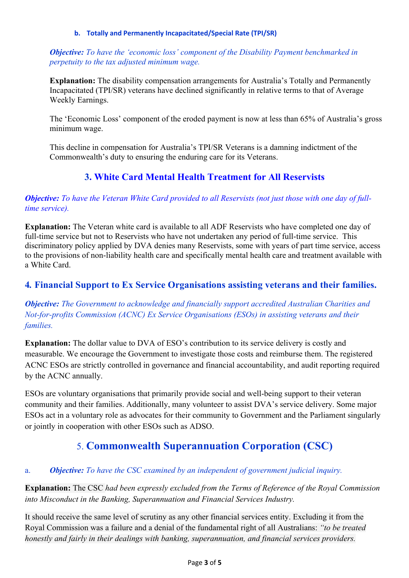#### **b. Totally and Permanently Incapacitated/Special Rate (TPI/SR)**

*Objective: To have the 'economic loss' component of the Disability Payment benchmarked in perpetuity to the tax adjusted minimum wage.*

**Explanation:** The disability compensation arrangements for Australia's Totally and Permanently Incapacitated (TPI/SR) veterans have declined significantly in relative terms to that of Average Weekly Earnings.

The 'Economic Loss' component of the eroded payment is now at less than 65% of Australia's gross minimum wage.

This decline in compensation for Australia's TPI/SR Veterans is a damning indictment of the Commonwealth's duty to ensuring the enduring care for its Veterans.

## **3. White Card Mental Health Treatment for All Reservists**

*Objective: To have the Veteran White Card provided to all Reservists (not just those with one day of fulltime service).*

**Explanation:** The Veteran white card is available to all ADF Reservists who have completed one day of full-time service but not to Reservists who have not undertaken any period of full-time service. This discriminatory policy applied by DVA denies many Reservists, some with years of part time service, access to the provisions of non-liability health care and specifically mental health care and treatment available with a White Card.

## **4***.* **Financial Support to Ex Service Organisations assisting veterans and their families.**

*Objective: The Government to acknowledge and financially support accredited Australian Charities and Not-for-profits Commission (ACNC) Ex Service Organisations (ESOs) in assisting veterans and their families.*

**Explanation:** The dollar value to DVA of ESO's contribution to its service delivery is costly and measurable. We encourage the Government to investigate those costs and reimburse them. The registered ACNC ESOs are strictly controlled in governance and financial accountability, and audit reporting required by the ACNC annually.

ESOs are voluntary organisations that primarily provide social and well-being support to their veteran community and their families. Additionally, many volunteer to assist DVA's service delivery. Some major ESOs act in a voluntary role as advocates for their community to Government and the Parliament singularly or jointly in cooperation with other ESOs such as ADSO.

## 5. **Commonwealth Superannuation Corporation (CSC)**

### a. *Objective: To have the CSC examined by an independent of government judicial inquiry.*

**Explanation:** The CSC *had been expressly excluded from the Terms of Reference of the Royal Commission into Misconduct in the Banking, Superannuation and Financial Services Industry.* 

It should receive the same level of scrutiny as any other financial services entity. Excluding it from the Royal Commission was a failure and a denial of the fundamental right of all Australians: *"to be treated honestly and fairly in their dealings with banking, superannuation, and financial services providers.*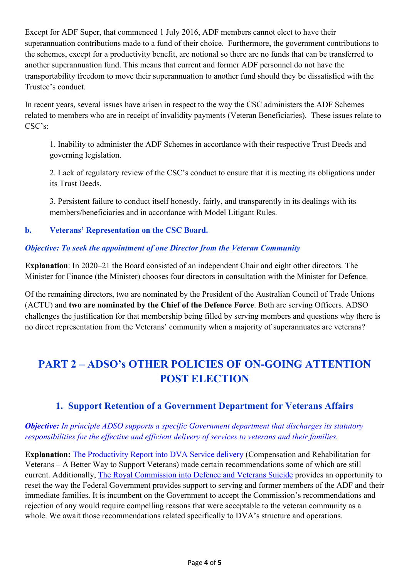Except for ADF Super, that commenced 1 July 2016, ADF members cannot elect to have their superannuation contributions made to a fund of their choice. Furthermore, the government contributions to the schemes, except for a productivity benefit, are notional so there are no funds that can be transferred to another superannuation fund. This means that current and former ADF personnel do not have the transportability freedom to move their superannuation to another fund should they be dissatisfied with the Trustee's conduct.

In recent years, several issues have arisen in respect to the way the CSC administers the ADF Schemes related to members who are in receipt of invalidity payments (Veteran Beneficiaries). These issues relate to CSC's:

1. Inability to administer the ADF Schemes in accordance with their respective Trust Deeds and governing legislation.

2. Lack of regulatory review of the CSC's conduct to ensure that it is meeting its obligations under its Trust Deeds.

3. Persistent failure to conduct itself honestly, fairly, and transparently in its dealings with its members/beneficiaries and in accordance with Model Litigant Rules.

### **b. Veterans' Representation on the CSC Board.**

### *Objective: To seek the appointment of one Director from the Veteran Community*

**Explanation**: In 2020–21 the Board consisted of an independent Chair and eight other directors. The Minister for Finance (the Minister) chooses four directors in consultation with the Minister for Defence.

Of the remaining directors, two are nominated by the President of the Australian Council of Trade Unions (ACTU) and **two are nominated by the Chief of the Defence Force**. Both are serving Officers. ADSO challenges the justification for that membership being filled by serving members and questions why there is no direct representation from the Veterans' community when a majority of superannuates are veterans?

# **PART 2 – ADSO's OTHER POLICIES OF ON-GOING ATTENTION POST ELECTION**

## **1. Support Retention of a Government Department for Veterans Affairs**

### *Objective: In principle ADSO supports a specific Government department that discharges its statutory responsibilities for the effective and efficient delivery of services to veterans and their families.*

**Explanation:** The Productivity Report into DVA Service delivery (Compensation and Rehabilitation for Veterans – A Better Way to Support Veterans) made certain recommendations some of which are still current. Additionally, The Royal Commission into Defence and Veterans Suicide provides an opportunity to reset the way the Federal Government provides support to serving and former members of the ADF and their immediate families. It is incumbent on the Government to accept the Commission's recommendations and rejection of any would require compelling reasons that were acceptable to the veteran community as a whole. We await those recommendations related specifically to DVA's structure and operations.